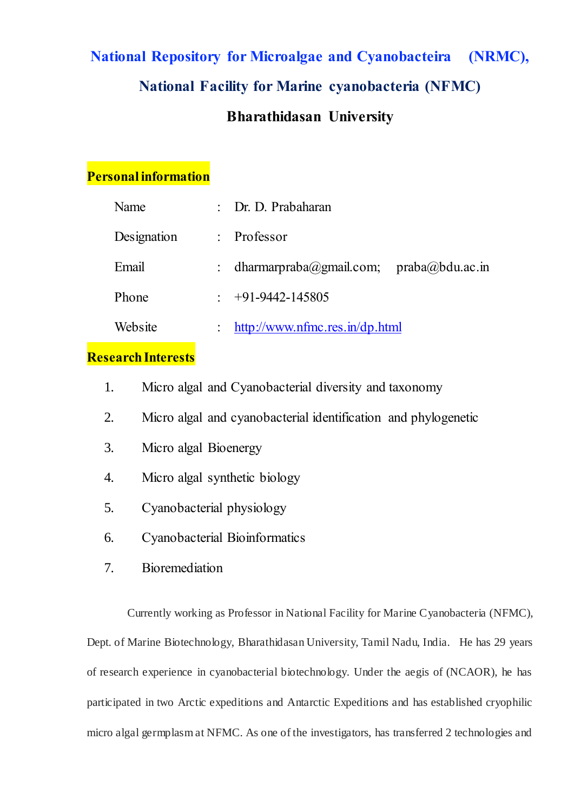# **National Repository for Microalgae and Cyanobacteira (NRMC), National Facility for Marine cyanobacteria (NFMC) Bharathidasan University**

## **Personal information**

| Name        |                      | : Dr. D. Prabaharan                       |  |
|-------------|----------------------|-------------------------------------------|--|
| Designation |                      | $:$ Professor                             |  |
| Email       |                      | : dharmarpraba@gmail.com; praba@bdu.ac.in |  |
| Phone       |                      | $\div$ +91-9442-145805                    |  |
| Website     | $\ddot{\phantom{0}}$ | http://www.nfmc.res.in/dp.html            |  |

# **Research Interests**

- 1. Micro algal and Cyanobacterial diversity and taxonomy
- 2. Micro algal and cyanobacterial identification and phylogenetic
- 3. Micro algal Bioenergy
- 4. Micro algal synthetic biology
- 5. Cyanobacterial physiology
- 6. Cyanobacterial Bioinformatics
- 7. Bioremediation

Currently working as Professor in National Facility for Marine Cyanobacteria (NFMC), Dept. of Marine Biotechnology, Bharathidasan University, Tamil Nadu, India. He has 29 years of research experience in cyanobacterial biotechnology. Under the aegis of (NCAOR), he has participated in two Arctic expeditions and Antarctic Expeditions and has established cryophilic micro algal germplasm at NFMC. As one of the investigators, has transferred 2 technologies and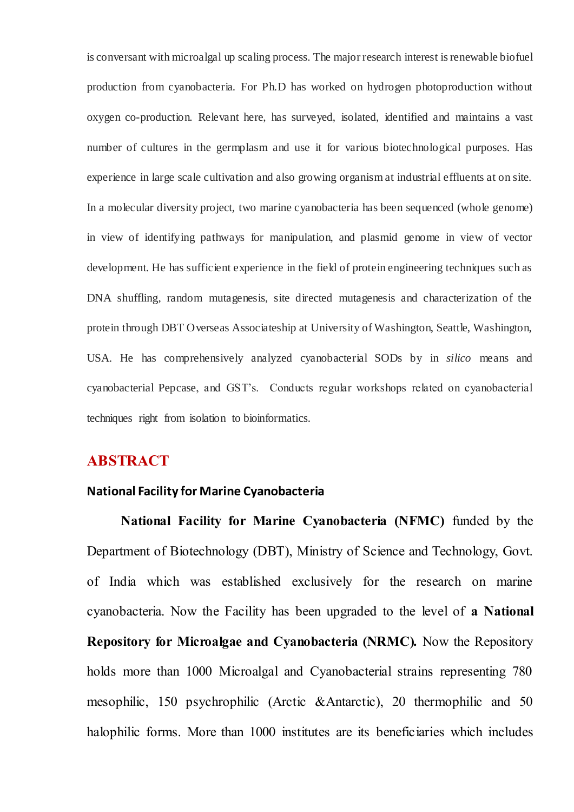is conversant with microalgal up scaling process. The major research interest is renewable biofuel production from cyanobacteria. For Ph.D has worked on hydrogen photoproduction without oxygen co-production. Relevant here, has surveyed, isolated, identified and maintains a vast number of cultures in the germplasm and use it for various biotechnological purposes. Has experience in large scale cultivation and also growing organism at industrial effluents at on site. In a molecular diversity project, two marine cyanobacteria has been sequenced (whole genome) in view of identifying pathways for manipulation, and plasmid genome in view of vector development. He has sufficient experience in the field of protein engineering techniques such as DNA shuffling, random mutagenesis, site directed mutagenesis and characterization of the protein through DBT Overseas Associateship at University of Washington, Seattle, Washington, USA. He has comprehensively analyzed cyanobacterial SODs by in *silico* means and cyanobacterial Pepcase, and GST's. Conducts regular workshops related on cyanobacterial techniques right from isolation to bioinformatics.

### **ABSTRACT**

#### **National Facility for Marine Cyanobacteria**

**National Facility for Marine Cyanobacteria (NFMC)** funded by the Department of Biotechnology (DBT), Ministry of Science and Technology, Govt. of India which was established exclusively for the research on marine cyanobacteria. Now the Facility has been upgraded to the level of **a National Repository for Microalgae and Cyanobacteria (NRMC).** Now the Repository holds more than 1000 Microalgal and Cyanobacterial strains representing 780 mesophilic, 150 psychrophilic (Arctic &Antarctic), 20 thermophilic and 50 halophilic forms. More than 1000 institutes are its beneficiaries which includes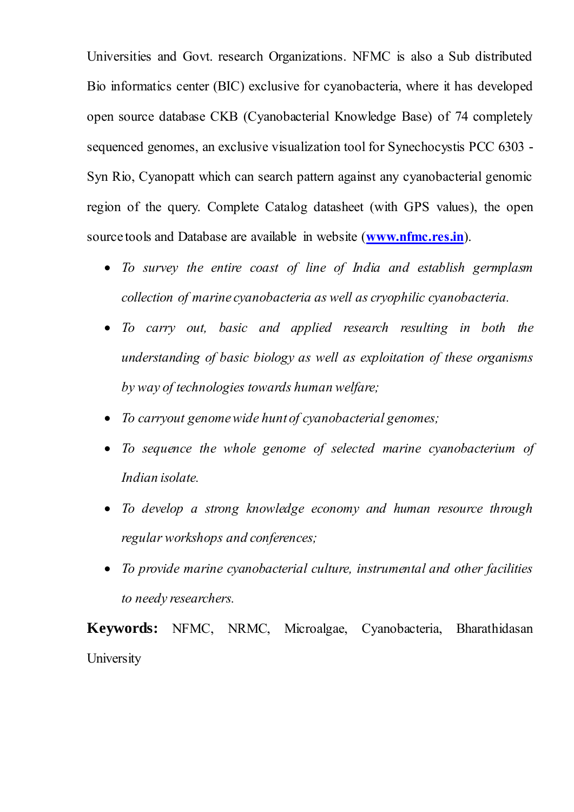Universities and Govt. research Organizations. NFMC is also a Sub distributed Bio informatics center (BIC) exclusive for cyanobacteria, where it has developed open source database CKB (Cyanobacterial Knowledge Base) of 74 completely sequenced genomes, an exclusive visualization tool for Synechocystis PCC 6303 - Syn Rio, Cyanopatt which can search pattern against any cyanobacterial genomic region of the query. Complete Catalog datasheet (with GPS values), the open source tools and Database are available in website (**[www.nfmc.res.in](http://www.nfmc.res.in/)**).

- *To survey the entire coast of line of India and establish germplasm collection of marine cyanobacteria as well as cryophilic cyanobacteria.*
- *To carry out, basic and applied research resulting in both the understanding of basic biology as well as exploitation of these organisms by way of technologies towards human welfare;*
- *To carryout genome wide hunt of cyanobacterial genomes;*
- *To sequence the whole genome of selected marine cyanobacterium of Indian isolate.*
- *To develop a strong knowledge economy and human resource through regular workshops and conferences;*
- *To provide marine cyanobacterial culture, instrumental and other facilities to needy researchers.*

**Keywords:** NFMC, NRMC, Microalgae, Cyanobacteria, Bharathidasan **University**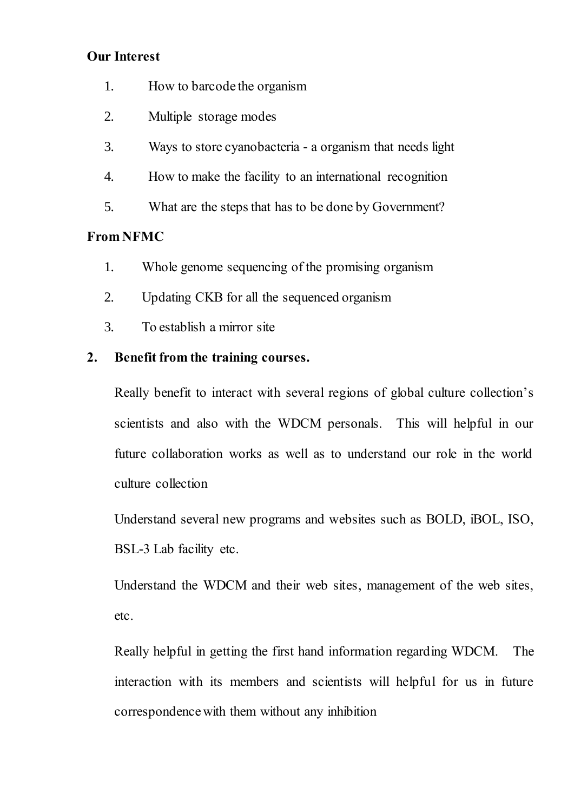### **Our Interest**

- 1. How to barcode the organism
- 2. Multiple storage modes
- 3. Ways to store cyanobacteria a organism that needs light
- 4. How to make the facility to an international recognition
- 5. What are the steps that has to be done by Government?

# **From NFMC**

- 1. Whole genome sequencing of the promising organism
- 2. Updating CKB for all the sequenced organism
- 3. To establish a mirror site

# **2. Benefit from the training courses.**

Really benefit to interact with several regions of global culture collection's scientists and also with the WDCM personals. This will helpful in our future collaboration works as well as to understand our role in the world culture collection

Understand several new programs and websites such as BOLD, iBOL, ISO, BSL-3 Lab facility etc.

Understand the WDCM and their web sites, management of the web sites, etc.

Really helpful in getting the first hand information regarding WDCM. The interaction with its members and scientists will helpful for us in future correspondence with them without any inhibition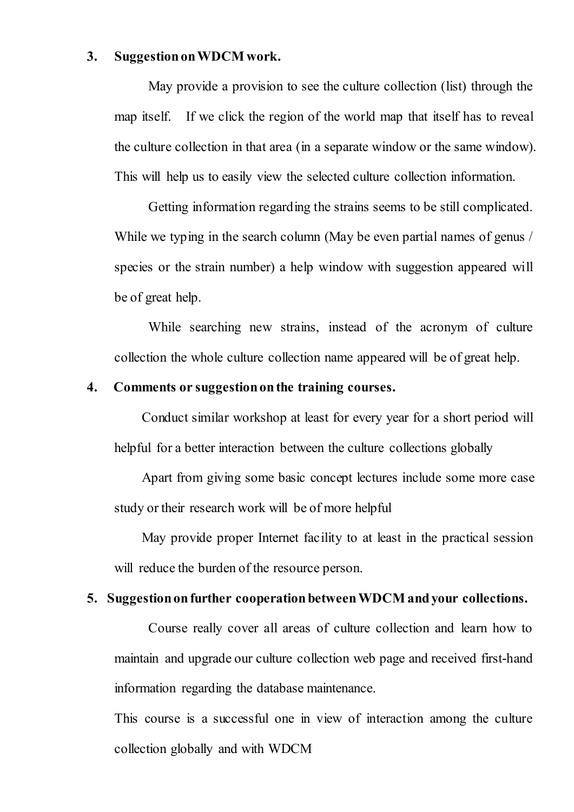#### **3. Suggestion on WDCM work.**

May provide a provision to see the culture collection (list) through the map itself. If we click the region of the world map that itself has to reveal the culture collection in that area (in a separate window or the same window). This will help us to easily view the selected culture collection information.

Getting information regarding the strains seems to be still complicated. While we typing in the search column (May be even partial names of genus / species or the strain number) a help window with suggestion appeared will be of great help.

While searching new strains, instead of the acronym of culture collection the whole culture collection name appeared will be of great help.

#### **4. Comments or suggestion on the training courses.**

Conduct similar workshop at least for every year for a short period will helpful for a better interaction between the culture collections globally

Apart from giving some basic concept lectures include some more case study or their research work will be of more helpful

May provide proper Internet facility to at least in the practical session will reduce the burden of the resource person.

#### **5. Suggestion on further cooperation between WDCM and your collections.**

Course really cover all areas of culture collection and learn how to maintain and upgrade our culture collection web page and received first-hand information regarding the database maintenance.

This course is a successful one in view of interaction among the culture collection globally and with WDCM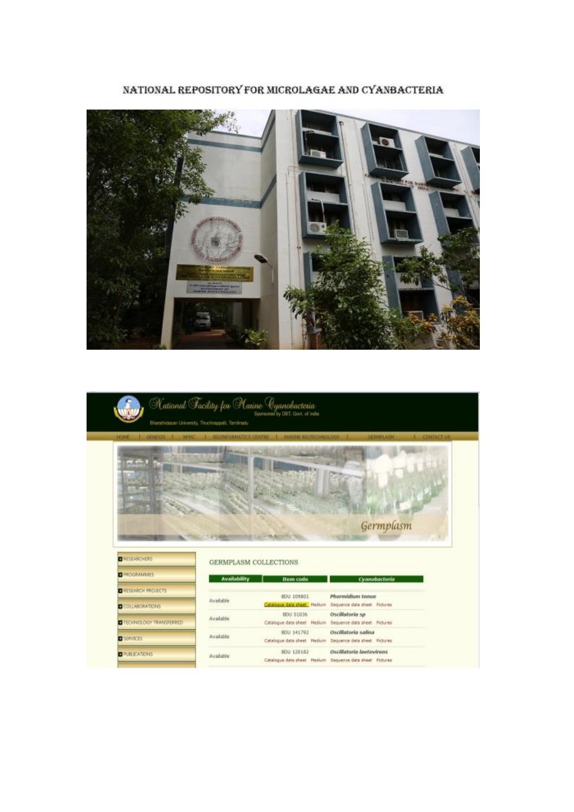

NATIONAL REPOSITORY FOR MICROLAGAE AND CYANBACTERIA

|                                                  | National Facility for Platine Cyanobacteria<br>Sponsored by DBT, Govt. of India.<br>Bharatisdasan University, Tituchirappali, Tamimadu                             |                                              |
|--------------------------------------------------|--------------------------------------------------------------------------------------------------------------------------------------------------------------------|----------------------------------------------|
| I GENESIS I NEWS<br><b>HOME</b>                  | <b>L</b> BIOINFORMATICS CENTRE<br>MARINE BIGTECHNOLOGY                                                                                                             | <b>JEBISLASM</b><br>1 CONTACTUS<br>Germplasm |
|                                                  |                                                                                                                                                                    |                                              |
| <b>DESEARCHERS</b>                               | <b>GERMPLASM COLLECTIONS</b>                                                                                                                                       |                                              |
| <b>E</b> PROGRAMMES                              | <b>Availability</b><br><b>Bem</b> code                                                                                                                             | Cyanobacteria                                |
| <b>E RESEARCH PROJECTS</b>                       | Phormidium tenue<br>BOU 109801<br>Available                                                                                                                        |                                              |
| COLLABORATIONS<br><b>OTECHNOLOGY TRANSFERRED</b> | Catalogue data sheet Medium Sequence data sheet Pictures<br>BDU 51036<br>Oscillatoria sp.<br>Available<br>Catalogue data sheet Medium Sequence data sheet Pictures |                                              |
| <b>DISERVICES</b>                                | BDU 141702<br>Oscillatoria salina<br>Avaiable<br>Catalogue data sheet Hedium Sequence data sheet Fictures:                                                         |                                              |